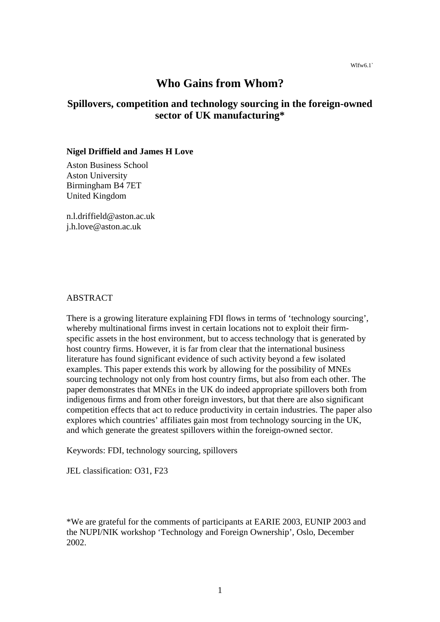# **Who Gains from Whom?**

## **Spillovers, competition and technology sourcing in the foreign-owned sector of UK manufacturing\***

#### **Nigel Driffield and James H Love**

Aston Business School Aston University Birmingham B4 7ET United Kingdom

n.l.driffield@aston.ac.uk j.h.love@aston.ac.uk

## ABSTRACT

There is a growing literature explaining FDI flows in terms of 'technology sourcing', whereby multinational firms invest in certain locations not to exploit their firmspecific assets in the host environment, but to access technology that is generated by host country firms. However, it is far from clear that the international business literature has found significant evidence of such activity beyond a few isolated examples. This paper extends this work by allowing for the possibility of MNEs sourcing technology not only from host country firms, but also from each other. The paper demonstrates that MNEs in the UK do indeed appropriate spillovers both from indigenous firms and from other foreign investors, but that there are also significant competition effects that act to reduce productivity in certain industries. The paper also explores which countries' affiliates gain most from technology sourcing in the UK, and which generate the greatest spillovers within the foreign-owned sector.

Keywords: FDI, technology sourcing, spillovers

JEL classification: O31, F23

\*We are grateful for the comments of participants at EARIE 2003, EUNIP 2003 and the NUPI/NIK workshop 'Technology and Foreign Ownership', Oslo, December 2002.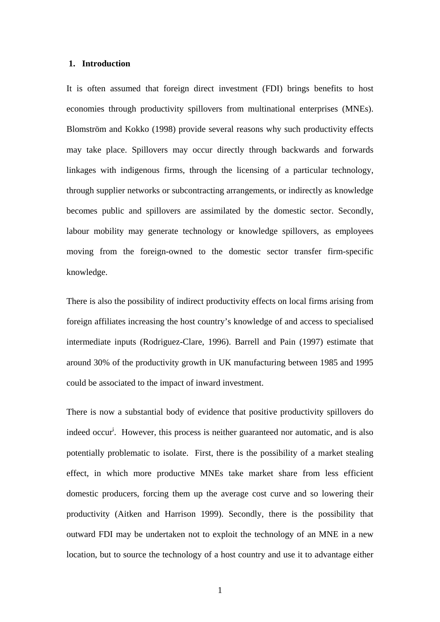#### **1. Introduction**

It is often assumed that foreign direct investment (FDI) brings benefits to host economies through productivity spillovers from multinational enterprises (MNEs). Blomström and Kokko (1998) provide several reasons why such productivity effects may take place. Spillovers may occur directly through backwards and forwards linkages with indigenous firms, through the licensing of a particular technology, through supplier networks or subcontracting arrangements, or indirectly as knowledge becomes public and spillovers are assimilated by the domestic sector. Secondly, labour mobility may generate technology or knowledge spillovers, as employees moving from the foreign-owned to the domestic sector transfer firm-specific knowledge.

There is also the possibility of indirect productivity effects on local firms arising from foreign affiliates increasing the host country's knowledge of and access to specialised intermediate inputs (Rodriguez-Clare, 1996). Barrell and Pain (1997) estimate that around 30% of the productivity growth in UK manufacturing between 1985 and 1995 could be associated to the impact of inward investment.

There is now a substantial body of evidence that positive productivity spillovers do indeed occur<sup>i</sup>. However, this process is neither guaranteed nor automatic, and is also potentially problematic to isolate. First, there is the possibility of a market stealing effect, in which more productive MNEs take market share from less efficient domestic producers, forcing them up the average cost curve and so lowering their productivity (Aitken and Harrison 1999). Secondly, there is the possibility that outward FDI may be undertaken not to exploit the technology of an MNE in a new location, but to source the technology of a host country and use it to advantage either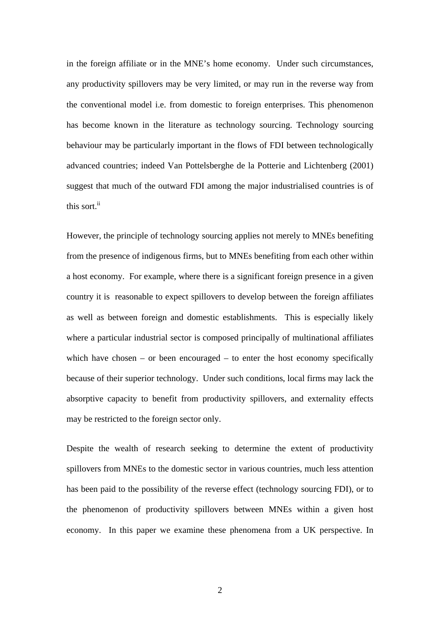in the foreign affiliate or in the MNE's home economy. Under such circumstances, any productivity spillovers may be very limited, or may run in the reverse way from the conventional model i.e. from domestic to foreign enterprises. This phenomenon has become known in the literature as technology sourcing. Technology sourcing behaviour may be particularly important in the flows of FDI between technologically advanced countries; indeed Van Pottelsberghe de la Potterie and Lichtenberg (2001) suggest that much of the outward FDI among the major industrialised countries is of this sort.<sup>ii</sup>

However, the principle of technology sourcing applies not merely to MNEs benefiting from the presence of indigenous firms, but to MNEs benefiting from each other within a host economy. For example, where there is a significant foreign presence in a given country it is reasonable to expect spillovers to develop between the foreign affiliates as well as between foreign and domestic establishments. This is especially likely where a particular industrial sector is composed principally of multinational affiliates which have chosen – or been encouraged – to enter the host economy specifically because of their superior technology. Under such conditions, local firms may lack the absorptive capacity to benefit from productivity spillovers, and externality effects may be restricted to the foreign sector only.

Despite the wealth of research seeking to determine the extent of productivity spillovers from MNEs to the domestic sector in various countries, much less attention has been paid to the possibility of the reverse effect (technology sourcing FDI), or to the phenomenon of productivity spillovers between MNEs within a given host economy. In this paper we examine these phenomena from a UK perspective. In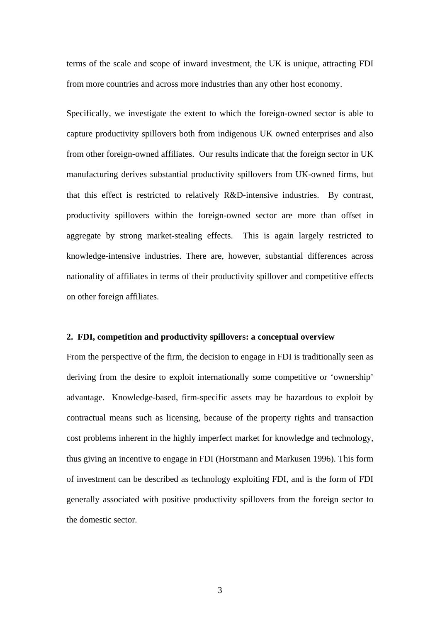terms of the scale and scope of inward investment, the UK is unique, attracting FDI from more countries and across more industries than any other host economy.

Specifically, we investigate the extent to which the foreign-owned sector is able to capture productivity spillovers both from indigenous UK owned enterprises and also from other foreign-owned affiliates. Our results indicate that the foreign sector in UK manufacturing derives substantial productivity spillovers from UK-owned firms, but that this effect is restricted to relatively R&D-intensive industries. By contrast, productivity spillovers within the foreign-owned sector are more than offset in aggregate by strong market-stealing effects. This is again largely restricted to knowledge-intensive industries. There are, however, substantial differences across nationality of affiliates in terms of their productivity spillover and competitive effects on other foreign affiliates.

#### **2. FDI, competition and productivity spillovers: a conceptual overview**

From the perspective of the firm, the decision to engage in FDI is traditionally seen as deriving from the desire to exploit internationally some competitive or 'ownership' advantage. Knowledge-based, firm-specific assets may be hazardous to exploit by contractual means such as licensing, because of the property rights and transaction cost problems inherent in the highly imperfect market for knowledge and technology, thus giving an incentive to engage in FDI (Horstmann and Markusen 1996). This form of investment can be described as technology exploiting FDI, and is the form of FDI generally associated with positive productivity spillovers from the foreign sector to the domestic sector.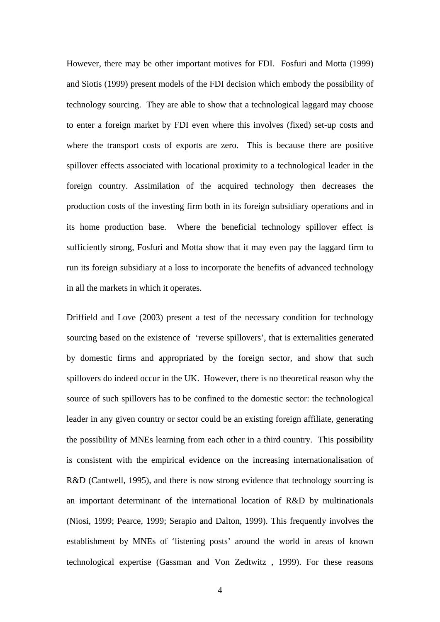However, there may be other important motives for FDI. Fosfuri and Motta (1999) and Siotis (1999) present models of the FDI decision which embody the possibility of technology sourcing. They are able to show that a technological laggard may choose to enter a foreign market by FDI even where this involves (fixed) set-up costs and where the transport costs of exports are zero. This is because there are positive spillover effects associated with locational proximity to a technological leader in the foreign country. Assimilation of the acquired technology then decreases the production costs of the investing firm both in its foreign subsidiary operations and in its home production base. Where the beneficial technology spillover effect is sufficiently strong, Fosfuri and Motta show that it may even pay the laggard firm to run its foreign subsidiary at a loss to incorporate the benefits of advanced technology in all the markets in which it operates.

Driffield and Love (2003) present a test of the necessary condition for technology sourcing based on the existence of 'reverse spillovers', that is externalities generated by domestic firms and appropriated by the foreign sector, and show that such spillovers do indeed occur in the UK. However, there is no theoretical reason why the source of such spillovers has to be confined to the domestic sector: the technological leader in any given country or sector could be an existing foreign affiliate, generating the possibility of MNEs learning from each other in a third country. This possibility is consistent with the empirical evidence on the increasing internationalisation of R&D (Cantwell, 1995), and there is now strong evidence that technology sourcing is an important determinant of the international location of R&D by multinationals (Niosi, 1999; Pearce, 1999; Serapio and Dalton, 1999). This frequently involves the establishment by MNEs of 'listening posts' around the world in areas of known technological expertise (Gassman and Von Zedtwitz , 1999). For these reasons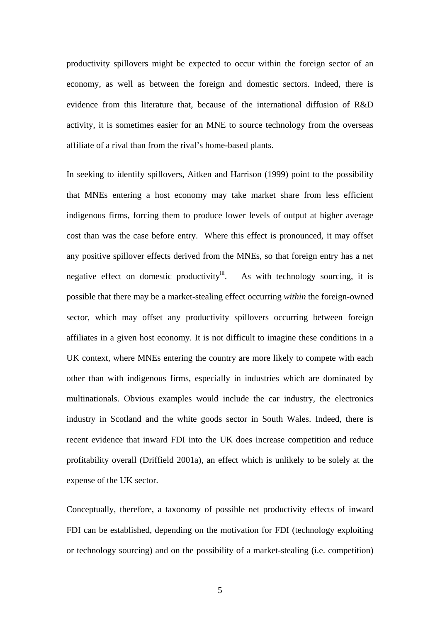productivity spillovers might be expected to occur within the foreign sector of an economy, as well as between the foreign and domestic sectors. Indeed, there is evidence from this literature that, because of the international diffusion of R&D activity, it is sometimes easier for an MNE to source technology from the overseas affiliate of a rival than from the rival's home-based plants.

In seeking to identify spillovers, Aitken and Harrison (1999) point to the possibility that MNEs entering a host economy may take market share from less efficient indigenous firms, forcing them to produce lower levels of output at higher average cost than was the case before entry. Where this effect is pronounced, it may offset any positive spillover effects derived from the MNEs, so that foreign entry has a net negative effect on domestic productivity<sup>iii</sup>. As with technology sourcing, it is possible that there may be a market-stealing effect occurring *within* the foreign-owned sector, which may offset any productivity spillovers occurring between foreign affiliates in a given host economy. It is not difficult to imagine these conditions in a UK context, where MNEs entering the country are more likely to compete with each other than with indigenous firms, especially in industries which are dominated by multinationals. Obvious examples would include the car industry, the electronics industry in Scotland and the white goods sector in South Wales. Indeed, there is recent evidence that inward FDI into the UK does increase competition and reduce profitability overall (Driffield 2001a), an effect which is unlikely to be solely at the expense of the UK sector.

Conceptually, therefore, a taxonomy of possible net productivity effects of inward FDI can be established, depending on the motivation for FDI (technology exploiting or technology sourcing) and on the possibility of a market-stealing (i.e. competition)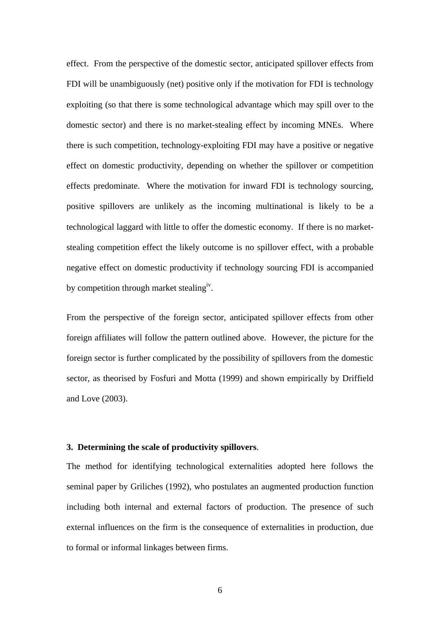effect. From the perspective of the domestic sector, anticipated spillover effects from FDI will be unambiguously (net) positive only if the motivation for FDI is technology exploiting (so that there is some technological advantage which may spill over to the domestic sector) and there is no market-stealing effect by incoming MNEs. Where there is such competition, technology-exploiting FDI may have a positive or negative effect on domestic productivity, depending on whether the spillover or competition effects predominate. Where the motivation for inward FDI is technology sourcing, positive spillovers are unlikely as the incoming multinational is likely to be a technological laggard with little to offer the domestic economy. If there is no marketstealing competition effect the likely outcome is no spillover effect, with a probable negative effect on domestic productivity if technology sourcing FDI is accompanied by competition through market stealing<sup>iv</sup>.

From the perspective of the foreign sector, anticipated spillover effects from other foreign affiliates will follow the pattern outlined above. However, the picture for the foreign sector is further complicated by the possibility of spillovers from the domestic sector, as theorised by Fosfuri and Motta (1999) and shown empirically by Driffield and Love (2003).

#### **3. Determining the scale of productivity spillovers**.

The method for identifying technological externalities adopted here follows the seminal paper by Griliches (1992), who postulates an augmented production function including both internal and external factors of production. The presence of such external influences on the firm is the consequence of externalities in production, due to formal or informal linkages between firms.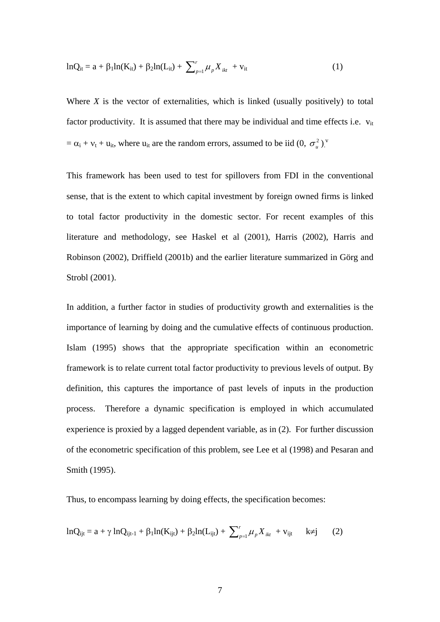$$
lnQ_{it} = a + \beta_1 ln(K_{it}) + \beta_2 ln(L_{it}) + \sum_{p=1}^{r} \mu_p X_{it} + v_{it}
$$
 (1)

Where *X* is the vector of externalities, which is linked (usually positively) to total factor productivity. It is assumed that there may be individual and time effects i.e.  $v_{it}$  $= \alpha_i + v_t + u_{it}$ , where  $u_{it}$  are the random errors, assumed to be iid  $(0, \sigma_u^2)$ .

This framework has been used to test for spillovers from FDI in the conventional sense, that is the extent to which capital investment by foreign owned firms is linked to total factor productivity in the domestic sector. For recent examples of this literature and methodology, see Haskel et al (2001), Harris (2002), Harris and Robinson (2002), Driffield (2001b) and the earlier literature summarized in Görg and Strobl (2001).

In addition, a further factor in studies of productivity growth and externalities is the importance of learning by doing and the cumulative effects of continuous production. Islam (1995) shows that the appropriate specification within an econometric framework is to relate current total factor productivity to previous levels of output. By definition, this captures the importance of past levels of inputs in the production process. Therefore a dynamic specification is employed in which accumulated experience is proxied by a lagged dependent variable, as in (2). For further discussion of the econometric specification of this problem, see Lee et al (1998) and Pesaran and Smith (1995).

Thus, to encompass learning by doing effects, the specification becomes:

$$
lnQ_{ijt} = a + \gamma lnQ_{ijt-1} + \beta_1 ln(K_{ijt}) + \beta_2 ln(L_{ijt}) + \sum_{p=1}^{r} \mu_p X_{ikt} + v_{ijt} \quad k \neq j \tag{2}
$$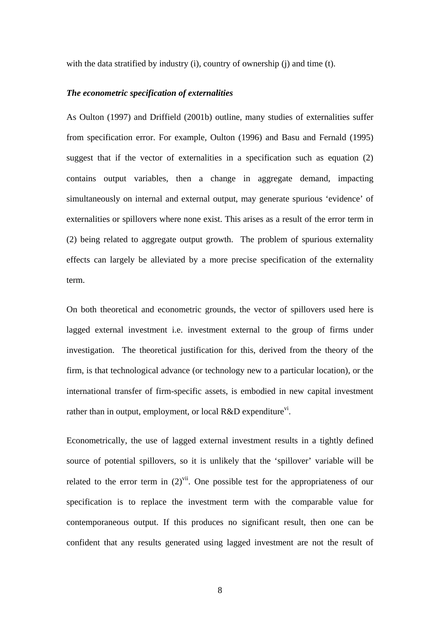with the data stratified by industry (i), country of ownership (j) and time (t).

#### *The econometric specification of externalities*

As Oulton (1997) and Driffield (2001b) outline, many studies of externalities suffer from specification error. For example, Oulton (1996) and Basu and Fernald (1995) suggest that if the vector of externalities in a specification such as equation (2) contains output variables, then a change in aggregate demand, impacting simultaneously on internal and external output, may generate spurious 'evidence' of externalities or spillovers where none exist. This arises as a result of the error term in (2) being related to aggregate output growth. The problem of spurious externality effects can largely be alleviated by a more precise specification of the externality term.

On both theoretical and econometric grounds, the vector of spillovers used here is lagged external investment i.e. investment external to the group of firms under investigation. The theoretical justification for this, derived from the theory of the firm, is that technological advance (or technology new to a particular location), or the international transfer of firm-specific assets, is embodied in new capital investment rather than in output, employment, or local  $R&D$  expenditure<sup>vi</sup>.

Econometrically, the use of lagged external investment results in a tightly defined source of potential spillovers, so it is unlikely that the 'spillover' variable will be related to the error term in  $(2)^{vii}$ . One possible test for the appropriateness of our specification is to replace the investment term with the comparable value for contemporaneous output. If this produces no significant result, then one can be confident that any results generated using lagged investment are not the result of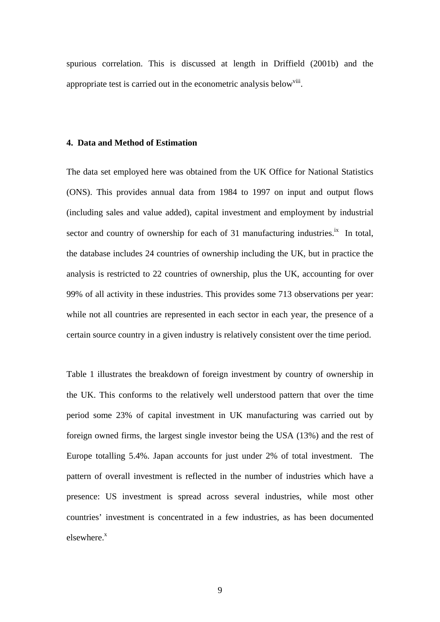spurious correlation. This is discussed at length in Driffield (2001b) and the appropriate test is carried out in the econometric analysis below<sup>viii</sup>.

#### **4. Data and Method of Estimation**

The data set employed here was obtained from the UK Office for National Statistics (ONS). This provides annual data from 1984 to 1997 on input and output flows (including sales and value added), capital investment and employment by industrial sector and country of ownership for each of 31 manufacturing industries.<sup>ix</sup> In total, the database includes 24 countries of ownership including the UK, but in practice the analysis is restricted to 22 countries of ownership, plus the UK, accounting for over 99% of all activity in these industries. This provides some 713 observations per year: while not all countries are represented in each sector in each year, the presence of a certain source country in a given industry is relatively consistent over the time period.

Table 1 illustrates the breakdown of foreign investment by country of ownership in the UK. This conforms to the relatively well understood pattern that over the time period some 23% of capital investment in UK manufacturing was carried out by foreign owned firms, the largest single investor being the USA (13%) and the rest of Europe totalling 5.4%. Japan accounts for just under 2% of total investment. The pattern of overall investment is reflected in the number of industries which have a presence: US investment is spread across several industries, while most other countries' investment is concentrated in a few industries, as has been documented elsewhere.<sup>x</sup>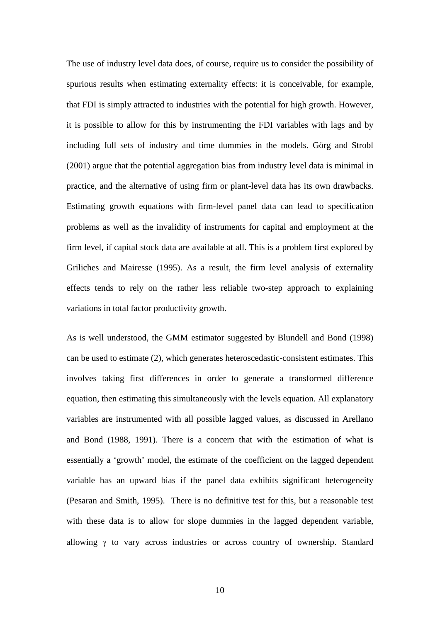The use of industry level data does, of course, require us to consider the possibility of spurious results when estimating externality effects: it is conceivable, for example, that FDI is simply attracted to industries with the potential for high growth. However, it is possible to allow for this by instrumenting the FDI variables with lags and by including full sets of industry and time dummies in the models. Görg and Strobl (2001) argue that the potential aggregation bias from industry level data is minimal in practice, and the alternative of using firm or plant-level data has its own drawbacks. Estimating growth equations with firm-level panel data can lead to specification problems as well as the invalidity of instruments for capital and employment at the firm level, if capital stock data are available at all. This is a problem first explored by Griliches and Mairesse (1995). As a result, the firm level analysis of externality effects tends to rely on the rather less reliable two-step approach to explaining variations in total factor productivity growth.

As is well understood, the GMM estimator suggested by Blundell and Bond (1998) can be used to estimate (2), which generates heteroscedastic-consistent estimates. This involves taking first differences in order to generate a transformed difference equation, then estimating this simultaneously with the levels equation. All explanatory variables are instrumented with all possible lagged values, as discussed in Arellano and Bond (1988, 1991). There is a concern that with the estimation of what is essentially a 'growth' model, the estimate of the coefficient on the lagged dependent variable has an upward bias if the panel data exhibits significant heterogeneity (Pesaran and Smith, 1995). There is no definitive test for this, but a reasonable test with these data is to allow for slope dummies in the lagged dependent variable, allowing  $\gamma$  to vary across industries or across country of ownership. Standard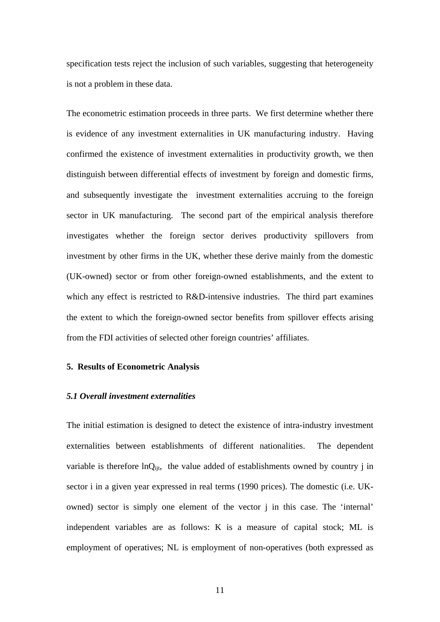specification tests reject the inclusion of such variables, suggesting that heterogeneity is not a problem in these data.

The econometric estimation proceeds in three parts. We first determine whether there is evidence of any investment externalities in UK manufacturing industry. Having confirmed the existence of investment externalities in productivity growth, we then distinguish between differential effects of investment by foreign and domestic firms, and subsequently investigate the investment externalities accruing to the foreign sector in UK manufacturing. The second part of the empirical analysis therefore investigates whether the foreign sector derives productivity spillovers from investment by other firms in the UK, whether these derive mainly from the domestic (UK-owned) sector or from other foreign-owned establishments, and the extent to which any effect is restricted to R&D-intensive industries. The third part examines the extent to which the foreign-owned sector benefits from spillover effects arising from the FDI activities of selected other foreign countries' affiliates.

#### **5. Results of Econometric Analysis**

#### *5.1 Overall investment externalities*

The initial estimation is designed to detect the existence of intra-industry investment externalities between establishments of different nationalities. The dependent variable is therefore  $lnQ_{\text{iit}}$ , the value added of establishments owned by country j in sector i in a given year expressed in real terms (1990 prices). The domestic (i.e. UKowned) sector is simply one element of the vector j in this case. The 'internal' independent variables are as follows: K is a measure of capital stock; ML is employment of operatives; NL is employment of non-operatives (both expressed as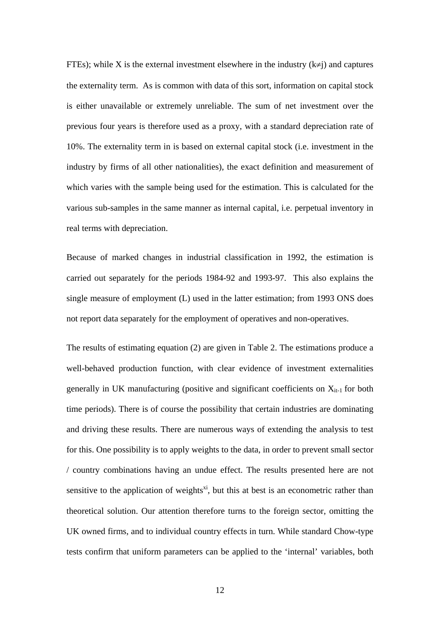FTEs); while X is the external investment elsewhere in the industry  $(k\neq j)$  and captures the externality term. As is common with data of this sort, information on capital stock is either unavailable or extremely unreliable. The sum of net investment over the previous four years is therefore used as a proxy, with a standard depreciation rate of 10%. The externality term in is based on external capital stock (i.e. investment in the industry by firms of all other nationalities), the exact definition and measurement of which varies with the sample being used for the estimation. This is calculated for the various sub-samples in the same manner as internal capital, i.e. perpetual inventory in real terms with depreciation.

Because of marked changes in industrial classification in 1992, the estimation is carried out separately for the periods 1984-92 and 1993-97. This also explains the single measure of employment (L) used in the latter estimation; from 1993 ONS does not report data separately for the employment of operatives and non-operatives.

The results of estimating equation (2) are given in Table 2. The estimations produce a well-behaved production function, with clear evidence of investment externalities generally in UK manufacturing (positive and significant coefficients on  $X_{it-1}$  for both time periods). There is of course the possibility that certain industries are dominating and driving these results. There are numerous ways of extending the analysis to test for this. One possibility is to apply weights to the data, in order to prevent small sector / country combinations having an undue effect. The results presented here are not sensitive to the application of weights<sup>xi</sup>, but this at best is an econometric rather than theoretical solution. Our attention therefore turns to the foreign sector, omitting the UK owned firms, and to individual country effects in turn. While standard Chow-type tests confirm that uniform parameters can be applied to the 'internal' variables, both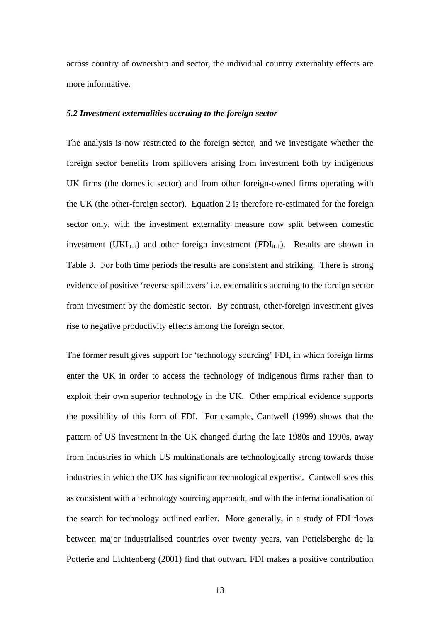across country of ownership and sector, the individual country externality effects are more informative.

#### *5.2 Investment externalities accruing to the foreign sector*

The analysis is now restricted to the foreign sector, and we investigate whether the foreign sector benefits from spillovers arising from investment both by indigenous UK firms (the domestic sector) and from other foreign-owned firms operating with the UK (the other-foreign sector). Equation 2 is therefore re-estimated for the foreign sector only, with the investment externality measure now split between domestic investment (UKI<sub>it-1</sub>) and other-foreign investment (FDI<sub>it-1</sub>). Results are shown in Table 3. For both time periods the results are consistent and striking. There is strong evidence of positive 'reverse spillovers' i.e. externalities accruing to the foreign sector from investment by the domestic sector. By contrast, other-foreign investment gives rise to negative productivity effects among the foreign sector.

The former result gives support for 'technology sourcing' FDI, in which foreign firms enter the UK in order to access the technology of indigenous firms rather than to exploit their own superior technology in the UK. Other empirical evidence supports the possibility of this form of FDI. For example, Cantwell (1999) shows that the pattern of US investment in the UK changed during the late 1980s and 1990s, away from industries in which US multinationals are technologically strong towards those industries in which the UK has significant technological expertise. Cantwell sees this as consistent with a technology sourcing approach, and with the internationalisation of the search for technology outlined earlier. More generally, in a study of FDI flows between major industrialised countries over twenty years, van Pottelsberghe de la Potterie and Lichtenberg (2001) find that outward FDI makes a positive contribution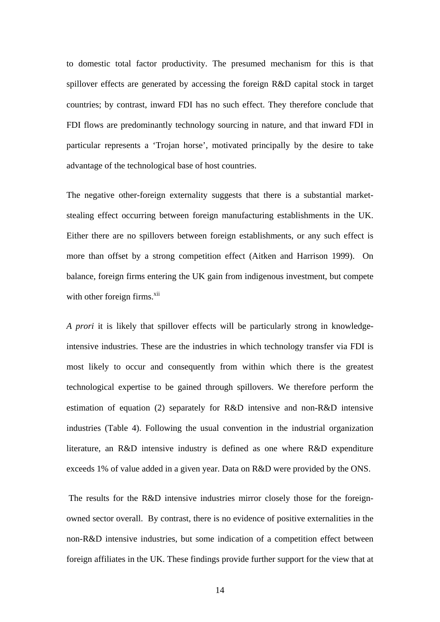to domestic total factor productivity. The presumed mechanism for this is that spillover effects are generated by accessing the foreign R&D capital stock in target countries; by contrast, inward FDI has no such effect. They therefore conclude that FDI flows are predominantly technology sourcing in nature, and that inward FDI in particular represents a 'Trojan horse', motivated principally by the desire to take advantage of the technological base of host countries.

The negative other-foreign externality suggests that there is a substantial marketstealing effect occurring between foreign manufacturing establishments in the UK. Either there are no spillovers between foreign establishments, or any such effect is more than offset by a strong competition effect (Aitken and Harrison 1999). On balance, foreign firms entering the UK gain from indigenous investment, but compete with other foreign firms. $^{xii}$ 

*A prori* it is likely that spillover effects will be particularly strong in knowledgeintensive industries. These are the industries in which technology transfer via FDI is most likely to occur and consequently from within which there is the greatest technological expertise to be gained through spillovers. We therefore perform the estimation of equation (2) separately for R&D intensive and non-R&D intensive industries (Table 4). Following the usual convention in the industrial organization literature, an R&D intensive industry is defined as one where R&D expenditure exceeds 1% of value added in a given year. Data on R&D were provided by the ONS.

 The results for the R&D intensive industries mirror closely those for the foreignowned sector overall. By contrast, there is no evidence of positive externalities in the non-R&D intensive industries, but some indication of a competition effect between foreign affiliates in the UK. These findings provide further support for the view that at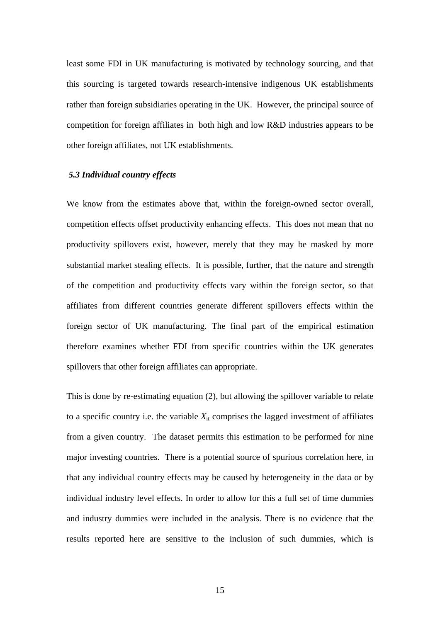least some FDI in UK manufacturing is motivated by technology sourcing, and that this sourcing is targeted towards research-intensive indigenous UK establishments rather than foreign subsidiaries operating in the UK. However, the principal source of competition for foreign affiliates in both high and low R&D industries appears to be other foreign affiliates, not UK establishments.

## *5.3 Individual country effects*

We know from the estimates above that, within the foreign-owned sector overall, competition effects offset productivity enhancing effects. This does not mean that no productivity spillovers exist, however, merely that they may be masked by more substantial market stealing effects. It is possible, further, that the nature and strength of the competition and productivity effects vary within the foreign sector, so that affiliates from different countries generate different spillovers effects within the foreign sector of UK manufacturing. The final part of the empirical estimation therefore examines whether FDI from specific countries within the UK generates spillovers that other foreign affiliates can appropriate.

This is done by re-estimating equation (2), but allowing the spillover variable to relate to a specific country i.e. the variable  $X_{it}$  comprises the lagged investment of affiliates from a given country. The dataset permits this estimation to be performed for nine major investing countries. There is a potential source of spurious correlation here, in that any individual country effects may be caused by heterogeneity in the data or by individual industry level effects. In order to allow for this a full set of time dummies and industry dummies were included in the analysis. There is no evidence that the results reported here are sensitive to the inclusion of such dummies, which is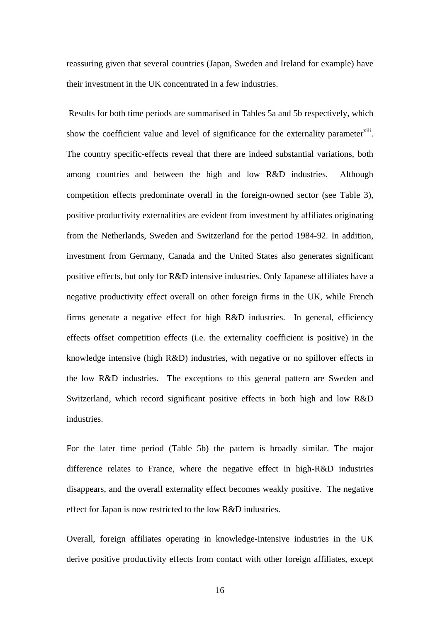reassuring given that several countries (Japan, Sweden and Ireland for example) have their investment in the UK concentrated in a few industries.

 Results for both time periods are summarised in Tables 5a and 5b respectively, which show the coefficient value and level of significance for the externality parameter<sup>xiii</sup>. The country specific-effects reveal that there are indeed substantial variations, both among countries and between the high and low R&D industries. Although competition effects predominate overall in the foreign-owned sector (see Table 3), positive productivity externalities are evident from investment by affiliates originating from the Netherlands, Sweden and Switzerland for the period 1984-92. In addition, investment from Germany, Canada and the United States also generates significant positive effects, but only for R&D intensive industries. Only Japanese affiliates have a negative productivity effect overall on other foreign firms in the UK, while French firms generate a negative effect for high R&D industries. In general, efficiency effects offset competition effects (i.e. the externality coefficient is positive) in the knowledge intensive (high R&D) industries, with negative or no spillover effects in the low R&D industries. The exceptions to this general pattern are Sweden and Switzerland, which record significant positive effects in both high and low R&D industries.

For the later time period (Table 5b) the pattern is broadly similar. The major difference relates to France, where the negative effect in high-R&D industries disappears, and the overall externality effect becomes weakly positive. The negative effect for Japan is now restricted to the low R&D industries.

Overall, foreign affiliates operating in knowledge-intensive industries in the UK derive positive productivity effects from contact with other foreign affiliates, except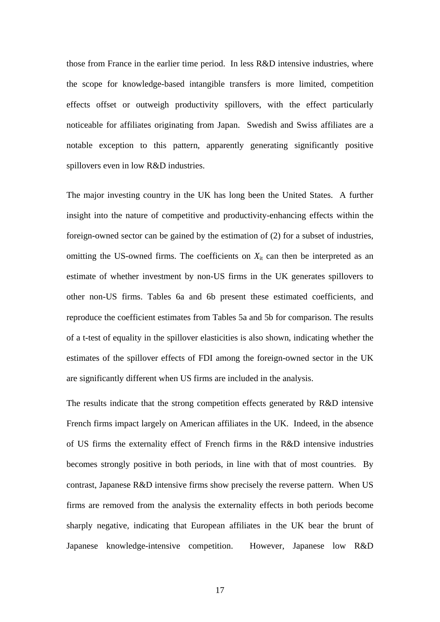those from France in the earlier time period. In less R&D intensive industries, where the scope for knowledge-based intangible transfers is more limited, competition effects offset or outweigh productivity spillovers, with the effect particularly noticeable for affiliates originating from Japan. Swedish and Swiss affiliates are a notable exception to this pattern, apparently generating significantly positive spillovers even in low R&D industries.

The major investing country in the UK has long been the United States. A further insight into the nature of competitive and productivity-enhancing effects within the foreign-owned sector can be gained by the estimation of (2) for a subset of industries, omitting the US-owned firms. The coefficients on  $X_{it}$  can then be interpreted as an estimate of whether investment by non-US firms in the UK generates spillovers to other non-US firms. Tables 6a and 6b present these estimated coefficients, and reproduce the coefficient estimates from Tables 5a and 5b for comparison. The results of a t-test of equality in the spillover elasticities is also shown, indicating whether the estimates of the spillover effects of FDI among the foreign-owned sector in the UK are significantly different when US firms are included in the analysis.

The results indicate that the strong competition effects generated by R&D intensive French firms impact largely on American affiliates in the UK. Indeed, in the absence of US firms the externality effect of French firms in the R&D intensive industries becomes strongly positive in both periods, in line with that of most countries. By contrast, Japanese R&D intensive firms show precisely the reverse pattern. When US firms are removed from the analysis the externality effects in both periods become sharply negative, indicating that European affiliates in the UK bear the brunt of Japanese knowledge-intensive competition. However, Japanese low R&D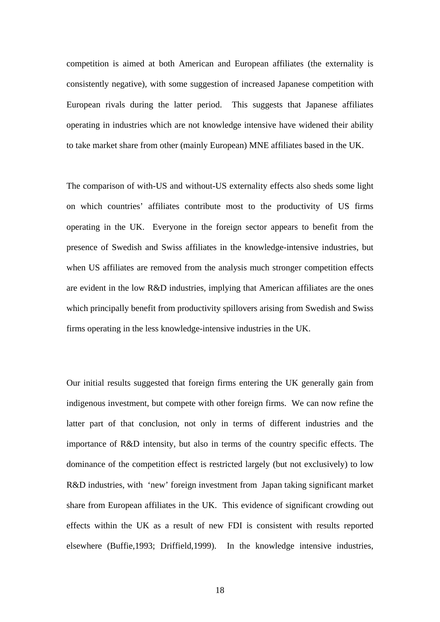competition is aimed at both American and European affiliates (the externality is consistently negative), with some suggestion of increased Japanese competition with European rivals during the latter period. This suggests that Japanese affiliates operating in industries which are not knowledge intensive have widened their ability to take market share from other (mainly European) MNE affiliates based in the UK.

The comparison of with-US and without-US externality effects also sheds some light on which countries' affiliates contribute most to the productivity of US firms operating in the UK. Everyone in the foreign sector appears to benefit from the presence of Swedish and Swiss affiliates in the knowledge-intensive industries, but when US affiliates are removed from the analysis much stronger competition effects are evident in the low R&D industries, implying that American affiliates are the ones which principally benefit from productivity spillovers arising from Swedish and Swiss firms operating in the less knowledge-intensive industries in the UK.

Our initial results suggested that foreign firms entering the UK generally gain from indigenous investment, but compete with other foreign firms. We can now refine the latter part of that conclusion, not only in terms of different industries and the importance of R&D intensity, but also in terms of the country specific effects. The dominance of the competition effect is restricted largely (but not exclusively) to low R&D industries, with 'new' foreign investment from Japan taking significant market share from European affiliates in the UK. This evidence of significant crowding out effects within the UK as a result of new FDI is consistent with results reported elsewhere (Buffie,1993; Driffield,1999). In the knowledge intensive industries,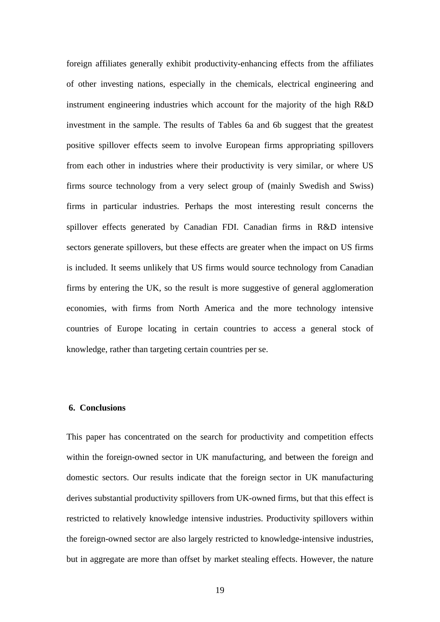foreign affiliates generally exhibit productivity-enhancing effects from the affiliates of other investing nations, especially in the chemicals, electrical engineering and instrument engineering industries which account for the majority of the high R&D investment in the sample. The results of Tables 6a and 6b suggest that the greatest positive spillover effects seem to involve European firms appropriating spillovers from each other in industries where their productivity is very similar, or where US firms source technology from a very select group of (mainly Swedish and Swiss) firms in particular industries. Perhaps the most interesting result concerns the spillover effects generated by Canadian FDI. Canadian firms in R&D intensive sectors generate spillovers, but these effects are greater when the impact on US firms is included. It seems unlikely that US firms would source technology from Canadian firms by entering the UK, so the result is more suggestive of general agglomeration economies, with firms from North America and the more technology intensive countries of Europe locating in certain countries to access a general stock of knowledge, rather than targeting certain countries per se.

#### **6. Conclusions**

This paper has concentrated on the search for productivity and competition effects within the foreign-owned sector in UK manufacturing, and between the foreign and domestic sectors. Our results indicate that the foreign sector in UK manufacturing derives substantial productivity spillovers from UK-owned firms, but that this effect is restricted to relatively knowledge intensive industries. Productivity spillovers within the foreign-owned sector are also largely restricted to knowledge-intensive industries, but in aggregate are more than offset by market stealing effects. However, the nature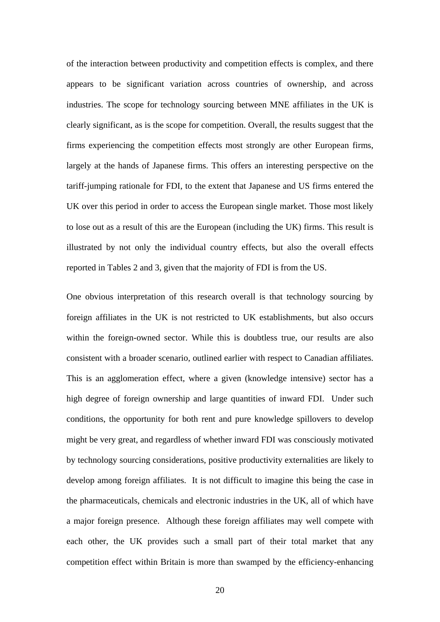of the interaction between productivity and competition effects is complex, and there appears to be significant variation across countries of ownership, and across industries. The scope for technology sourcing between MNE affiliates in the UK is clearly significant, as is the scope for competition. Overall, the results suggest that the firms experiencing the competition effects most strongly are other European firms, largely at the hands of Japanese firms. This offers an interesting perspective on the tariff-jumping rationale for FDI, to the extent that Japanese and US firms entered the UK over this period in order to access the European single market. Those most likely to lose out as a result of this are the European (including the UK) firms. This result is illustrated by not only the individual country effects, but also the overall effects reported in Tables 2 and 3, given that the majority of FDI is from the US.

One obvious interpretation of this research overall is that technology sourcing by foreign affiliates in the UK is not restricted to UK establishments, but also occurs within the foreign-owned sector. While this is doubtless true, our results are also consistent with a broader scenario, outlined earlier with respect to Canadian affiliates. This is an agglomeration effect, where a given (knowledge intensive) sector has a high degree of foreign ownership and large quantities of inward FDI. Under such conditions, the opportunity for both rent and pure knowledge spillovers to develop might be very great, and regardless of whether inward FDI was consciously motivated by technology sourcing considerations, positive productivity externalities are likely to develop among foreign affiliates. It is not difficult to imagine this being the case in the pharmaceuticals, chemicals and electronic industries in the UK, all of which have a major foreign presence. Although these foreign affiliates may well compete with each other, the UK provides such a small part of their total market that any competition effect within Britain is more than swamped by the efficiency-enhancing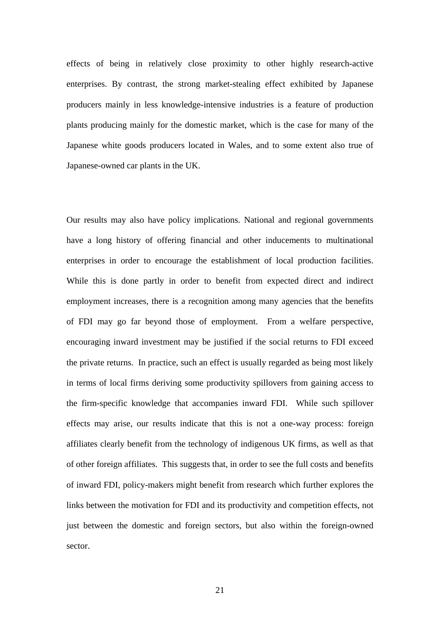effects of being in relatively close proximity to other highly research-active enterprises. By contrast, the strong market-stealing effect exhibited by Japanese producers mainly in less knowledge-intensive industries is a feature of production plants producing mainly for the domestic market, which is the case for many of the Japanese white goods producers located in Wales, and to some extent also true of Japanese-owned car plants in the UK.

Our results may also have policy implications. National and regional governments have a long history of offering financial and other inducements to multinational enterprises in order to encourage the establishment of local production facilities. While this is done partly in order to benefit from expected direct and indirect employment increases, there is a recognition among many agencies that the benefits of FDI may go far beyond those of employment. From a welfare perspective, encouraging inward investment may be justified if the social returns to FDI exceed the private returns. In practice, such an effect is usually regarded as being most likely in terms of local firms deriving some productivity spillovers from gaining access to the firm-specific knowledge that accompanies inward FDI. While such spillover effects may arise, our results indicate that this is not a one-way process: foreign affiliates clearly benefit from the technology of indigenous UK firms, as well as that of other foreign affiliates. This suggests that, in order to see the full costs and benefits of inward FDI, policy-makers might benefit from research which further explores the links between the motivation for FDI and its productivity and competition effects, not just between the domestic and foreign sectors, but also within the foreign-owned sector.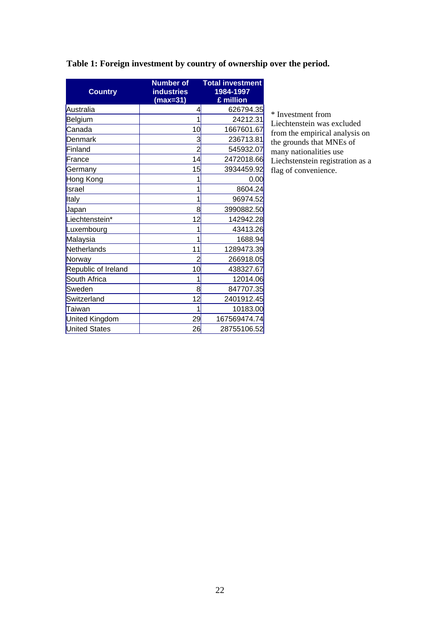| <b>Country</b>       | <b>Number of</b><br><b>industries</b><br>$(max=31)$ | <b>Total investment</b><br>1984-1997<br>£ million |
|----------------------|-----------------------------------------------------|---------------------------------------------------|
| Australia            | 4                                                   | 626794.35                                         |
| <b>Belgium</b>       | 1                                                   | 24212.31                                          |
| Canada               | 10                                                  | 1667601.67                                        |
| Denmark              | 3                                                   | 236713.81                                         |
| Finland              | $\overline{2}$                                      | 545932.07                                         |
| France               | 14                                                  | 2472018.66                                        |
| Germany              | 15                                                  | 3934459.92                                        |
| Hong Kong            | 1                                                   | 0.00                                              |
| Israel               | 1                                                   | 8604.24                                           |
| <b>Italy</b>         | 1                                                   | 96974.52                                          |
| Japan                | 8                                                   | 3990882.50                                        |
| Liechtenstein*       | 12                                                  | 142942.28                                         |
| Luxembourg           | 1                                                   | 43413.26                                          |
| Malaysia             | 1                                                   | 1688.94                                           |
| Netherlands          | 11                                                  | 1289473.39                                        |
| Norway               | 2                                                   | 266918.05                                         |
| Republic of Ireland  | 10                                                  | 438327.67                                         |
| South Africa         | 1                                                   | 12014.06                                          |
| Sweden               | 8                                                   | 847707.35                                         |
| Switzerland          | 12                                                  | 2401912.45                                        |
| Taiwan               | 1                                                   | 10183.00                                          |
| United Kingdom       | 29                                                  | 167569474.74                                      |
| <b>United States</b> | 26                                                  | 28755106.52                                       |

# **Table 1: Foreign investment by country of ownership over the period.**

\* Investment from Liechtenstein was excluded from the empirical analysis on the grounds that MNEs of many nationalities use Liechstenstein registration as a flag of convenience.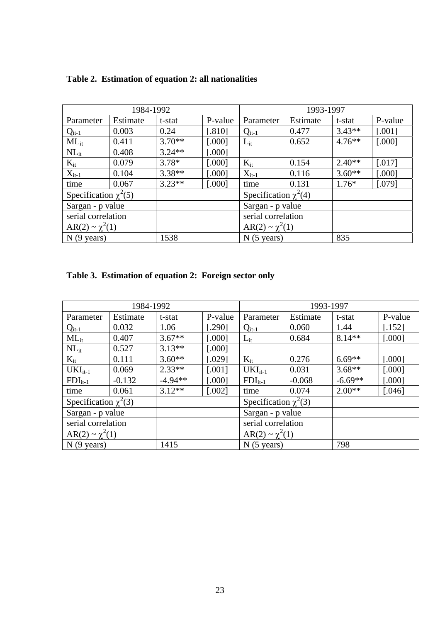| 1984-1992                 |          |          |         | 1993-1997                 |          |           |          |
|---------------------------|----------|----------|---------|---------------------------|----------|-----------|----------|
| Parameter                 | Estimate | t-stat   | P-value | Parameter                 | Estimate | t-stat    | P-value  |
| $Q_{it-1}$                | 0.003    | 0.24     | [.810]  | $Q_{it-1}$                | 0.477    | $3.43**$  | $[.001]$ |
| $ML_{it}$                 | 0.411    | $3.70**$ | [.000]  | $L_{it}$                  | 0.652    | $4.76***$ | [.000]   |
| $NL_{it}$                 | 0.408    | $3.24**$ | [.000]  |                           |          |           |          |
| $K_{it}$                  | 0.079    | $3.78*$  | [.000]  | $K_{it}$                  | 0.154    | $2.40**$  | [.017]   |
| $X_{it-1}$                | 0.104    | $3.38**$ | [.000]  | $X_{it-1}$                | 0.116    | $3.60**$  | [.000]   |
| time                      | 0.067    | $3.23**$ | [.000]  | time                      | 0.131    | $1.76*$   | [.079]   |
| Specification $\chi^2(5)$ |          |          |         | Specification $\chi^2(4)$ |          |           |          |
| Sargan - p value          |          |          |         | Sargan - p value          |          |           |          |
| serial correlation        |          |          |         | serial correlation        |          |           |          |
| $AR(2) \sim \chi^2(1)$    |          |          |         | $AR(2) \sim \chi^2(1)$    |          |           |          |
| $N(9 \text{ years})$      |          | 1538     |         | $N(5 \text{ years})$      |          | 835       |          |

# **Table 2. Estimation of equation 2: all nationalities**

| Table 3. Estimation of equation 2: Foreign sector only |  |  |  |
|--------------------------------------------------------|--|--|--|
|                                                        |  |  |  |

|                           | 1984-1992 |           |          | 1993-1997                 |          |           |         |
|---------------------------|-----------|-----------|----------|---------------------------|----------|-----------|---------|
| Parameter                 | Estimate  | t-stat    | P-value  | Parameter                 | Estimate | t-stat    | P-value |
| $Q_{it-1}$                | 0.032     | 1.06      | [.290]   | $Q_{it-1}$                | 0.060    | 1.44      | [.152]  |
| $ML_{it}$                 | 0.407     | $3.67**$  | [.000]   | $L_{it}$                  | 0.684    | $8.14**$  | [.000]  |
| $NL_{it}$                 | 0.527     | $3.13**$  | [.000]   |                           |          |           |         |
| $K_{it}$                  | 0.111     | $3.60**$  | [.029]   | $K_{it}$                  | 0.276    | $6.69**$  | [.000]  |
| $UKIit-1$                 | 0.069     | $2.33**$  | [.001]   | $UKIit-1$                 | 0.031    | $3.68**$  | [.000]  |
| $FDI_{it-1}$              | $-0.132$  | $-4.94**$ | [.000]   | $FDI_{it-1}$              | $-0.068$ | $-6.69**$ | [.000]  |
| time                      | 0.061     | $3.12**$  | $[.002]$ | time                      | 0.074    | $2.00**$  | [.046]  |
| Specification $\chi^2(3)$ |           |           |          | Specification $\chi^2(3)$ |          |           |         |
| Sargan - p value          |           |           |          | Sargan - p value          |          |           |         |
| serial correlation        |           |           |          | serial correlation        |          |           |         |
| $AR(2) \sim \chi^2(1)$    |           |           |          | $AR(2) \sim \chi^2(1)$    |          |           |         |
| $N(9 \text{ years})$      |           | 1415      |          | $N(5 \text{ years})$      |          | 798       |         |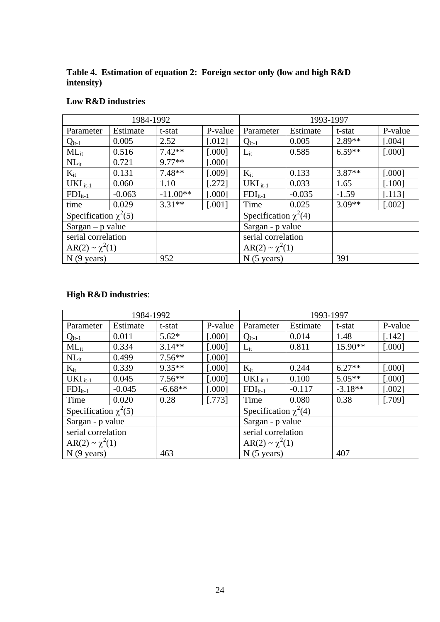**Table 4. Estimation of equation 2: Foreign sector only (low and high R&D intensity)**

| Low R&D industries |  |  |  |
|--------------------|--|--|--|
|--------------------|--|--|--|

|                           | 1984-1992 |            |          | 1993-1997                 |          |          |         |
|---------------------------|-----------|------------|----------|---------------------------|----------|----------|---------|
| Parameter                 | Estimate  | t-stat     | P-value  | Parameter                 | Estimate | t-stat   | P-value |
| $Q_{it-1}$                | 0.005     | 2.52       | $[.012]$ | $Q_{it-1}$                | 0.005    | $2.89**$ | [.004]  |
| $ML_{it}$                 | 0.516     | $7.42**$   | [.000]   | $L_{it}$                  | 0.585    | $6.59**$ | [.000]  |
| $NL_{it}$                 | 0.721     | $9.77**$   | [.000]   |                           |          |          |         |
| $K_{it}$                  | 0.131     | $7.48**$   | [.009]   | $K_{it}$                  | 0.133    | $3.87**$ | [.000]  |
| $UKI_{it-1}$              | 0.060     | 1.10       | [.272]   | $UKI_{it-1}$              | 0.033    | 1.65     | [.100]  |
| $FDI_{it-1}$              | $-0.063$  | $-11.00**$ | [.000]   | $FDI_{it-1}$              | $-0.035$ | $-1.59$  | [.113]  |
| time                      | 0.029     | $3.31**$   | [.001]   | Time                      | 0.025    | $3.09**$ | [.002]  |
| Specification $\chi^2(5)$ |           |            |          | Specification $\chi^2(4)$ |          |          |         |
| $Sargan - p$ value        |           |            |          | Sargan - p value          |          |          |         |
| serial correlation        |           |            |          | serial correlation        |          |          |         |
| $AR(2) \sim \chi^2(1)$    |           |            |          | $AR(2) \sim \chi^2(1)$    |          |          |         |
| $N(9 \text{ years})$      |           | 952        |          | $N(5 \text{ years})$      |          | 391      |         |

# **High R&D industries**:

| 1984-1992                 |          |           | 1993-1997          |                           |          |           |         |
|---------------------------|----------|-----------|--------------------|---------------------------|----------|-----------|---------|
| Parameter                 | Estimate | t-stat    | P-value            | Parameter                 | Estimate | t-stat    | P-value |
| $Q_{it-1}$                | 0.011    | $5.62*$   | [.000]             | $Q_{it-1}$                | 0.014    | 1.48      | [.142]  |
| $ML_{it}$                 | 0.334    | $3.14**$  | [.000]             | $L_{it}$                  | 0.811    | $15.90**$ | [.000]  |
| $NL_{it}$                 | 0.499    | $7.56**$  | [.000]             |                           |          |           |         |
| $K_{it}$                  | 0.339    | $9.35**$  | [.000]             | $K_{it}$                  | 0.244    | $6.27**$  | [.000]  |
| $UKI_{it-1}$              | 0.045    | $7.56**$  | [.000]             | $UKI_{it-1}$              | 0.100    | $5.05**$  | [.000]  |
| $FDI_{it-1}$              | $-0.045$ | $-6.68**$ | [.000]             | $FDI_{it-1}$              | $-0.117$ | $-3.18**$ | [.002]  |
| Time                      | 0.020    | 0.28      | [.773]             | Time                      | 0.080    | 0.38      | [.709]  |
| Specification $\chi^2(5)$ |          |           |                    | Specification $\chi^2(4)$ |          |           |         |
| Sargan - p value          |          |           |                    | Sargan - p value          |          |           |         |
| serial correlation        |          |           | serial correlation |                           |          |           |         |
| $AR(2) \sim \chi^2(1)$    |          |           |                    | $AR(2) \sim \chi^2(1)$    |          |           |         |
| $N(9 \text{ years})$      |          | 463       |                    | $N(5 \text{ years})$      |          | 407       |         |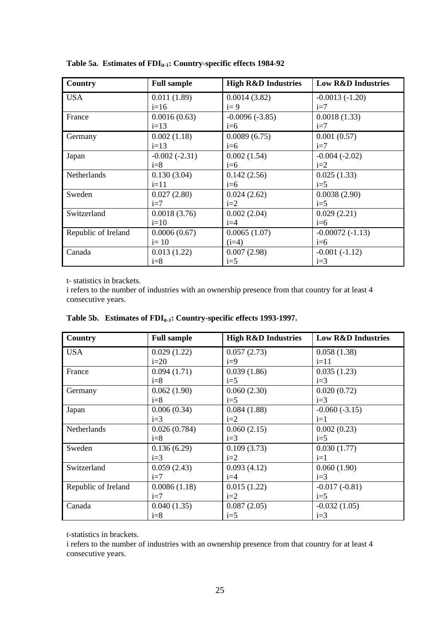| Country             | <b>Full sample</b> | <b>High R&amp;D Industries</b> | <b>Low R&amp;D Industries</b> |
|---------------------|--------------------|--------------------------------|-------------------------------|
| <b>USA</b>          | 0.011(1.89)        | 0.0014(3.82)                   | $-0.0013(-1.20)$              |
|                     | $i=16$             | $i=9$                          | $i=7$                         |
| France              | 0.0016(0.63)       | $-0.0096(-3.85)$               | 0.0018(1.33)                  |
|                     | $i=13$             | $i=6$                          | $i=7$                         |
| Germany             | 0.002(1.18)        | 0.0089(6.75)                   | 0.001(0.57)                   |
|                     | $i=13$             | $i=6$                          | $i=7$                         |
| Japan               | $-0.002(-2.31)$    | 0.002(1.54)                    | $-0.004(-2.02)$               |
|                     | $i=8$              | $i=6$                          | $i=2$                         |
| Netherlands         | 0.130(3.04)        | 0.142(2.56)                    | 0.025(1.33)                   |
|                     | $i=11$             | $i=6$                          | $i=5$                         |
| Sweden              | 0.027(2.80)        | 0.024(2.62)                    | 0.0038(2.90)                  |
|                     | $i=7$              | $i=2$                          | $i=5$                         |
| Switzerland         | 0.0018(3.76)       | 0.002(2.04)                    | 0.029(2.21)                   |
|                     | $i=10$             | $i=4$                          | $i=6$                         |
| Republic of Ireland | 0.0006(0.67)       | 0.0065(1.07)                   | $-0.00072(-1.13)$             |
|                     | $i=10$             | $(i=4)$                        | $i=6$                         |
| Canada              | 0.013(1.22)        | 0.007(2.98)                    | $-0.001(-1.12)$               |
|                     | $i=8$              | $i=5$                          | $i=3$                         |

Table 5a. Estimates of FDI<sub>it-1</sub>: Country-specific effects 1984-92

t- statistics in brackets.

i refers to the number of industries with an ownership presence from that country for at least 4 consecutive years.

| Country             | <b>Full sample</b> | <b>High R&amp;D Industries</b> | <b>Low R&amp;D Industries</b> |
|---------------------|--------------------|--------------------------------|-------------------------------|
| <b>USA</b>          | 0.029(1.22)        | 0.057(2.73)                    | 0.058(1.38)                   |
|                     | $i=20$             | $i=9$                          | $i=11$                        |
| France              | 0.094(1.71)        | 0.039(1.86)                    | 0.035(1.23)                   |
|                     | $i=8$              | $i=5$                          | $i=3$                         |
| Germany             | 0.062(1.90)        | 0.060(2.30)                    | 0.020(0.72)                   |
|                     | $i=8$              | $i=5$                          | $i=3$                         |
| Japan               | 0.006(0.34)        | 0.084(1.88)                    | $-0.060(-3.15)$               |
|                     | $i=3$              | $i=2$                          | $i=1$                         |
| Netherlands         | 0.026(0.784)       | 0.060(2.15)                    | 0.002(0.23)                   |
|                     | $i=8$              | $i=3$                          | $i=5$                         |
| Sweden              | 0.136(6.29)        | 0.109(3.73)                    | 0.030(1.77)                   |
|                     | $i=3$              | $i=2$                          | $i=1$                         |
| Switzerland         | 0.059(2.43)        | 0.093(4.12)                    | 0.060(1.90)                   |
|                     | $i=7$              | $i=4$                          | $i=3$                         |
| Republic of Ireland | 0.0086(1.18)       | 0.015(1.22)                    | $-0.017(-0.81)$               |
|                     | $i=7$              | $i=2$                          | $i=5$                         |
| Canada              | 0.040(1.35)        | 0.087(2.05)                    | $-0.032(1.05)$                |
|                     | $i=8$              | $i=5$                          | $i=3$                         |

Table 5b. Estimates of FDI<sub>it-1</sub>: Country-specific effects 1993-1997.

t-statistics in brackets.

i refers to the number of industries with an ownership presence from that country for at least 4 consecutive years.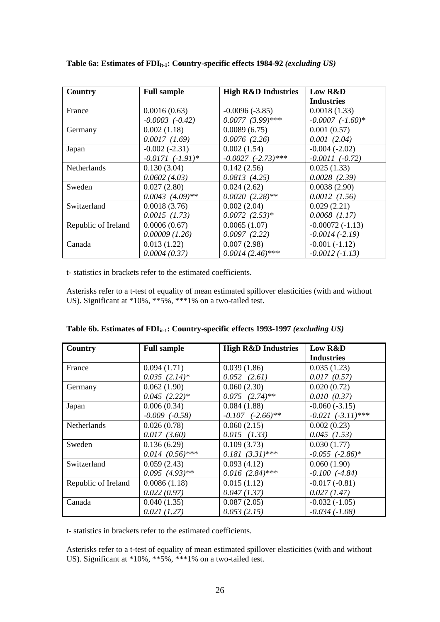| Country             | <b>Full sample</b>    | <b>High R&amp;D Industries</b> | Low R&D              |
|---------------------|-----------------------|--------------------------------|----------------------|
|                     |                       |                                | <b>Industries</b>    |
| France              | 0.0016(0.63)          | $-0.0096(-3.85)$               | 0.0018(1.33)         |
|                     | $-0.0003$ $(-0.42)$   | $0.0077$ $(3.99)$ ***          | $-0.0007$ $(-1.60)*$ |
| Germany             | 0.002(1.18)           | 0.0089(6.75)                   | 0.001(0.57)          |
|                     | 0.0017(1.69)          | 0.0076(2.26)                   | 0.001(2.04)          |
| Japan               | $-0.002(-2.31)$       | 0.002(1.54)                    | $-0.004(-2.02)$      |
|                     | $-0.0171$ $(-1.91)$ * | $-0.0027$ $(-2.73)$ ***        | $-0.0011$ $(-0.72)$  |
| <b>Netherlands</b>  | 0.130(3.04)           | 0.142(2.56)                    | 0.025(1.33)          |
|                     | 0.0602(4.03)          | 0.0813(4.25)                   | 0.0028(2.39)         |
| Sweden              | 0.027(2.80)           | 0.024(2.62)                    | 0.0038(2.90)         |
|                     | $0.0043$ $(4.09)**$   | $0.0020(2.28)$ **              | $0.0012$ $(1.56)$    |
| Switzerland         | 0.0018(3.76)          | 0.002(2.04)                    | 0.029(2.21)          |
|                     | $0.0015$ $(1.73)$     | $0.0072$ $(2.53)*$             | $0.0068$ $(1.17)$    |
| Republic of Ireland | 0.0006(0.67)          | 0.0065(1.07)                   | $-0.00072(-1.13)$    |
|                     | 0.00009(1.26)         | 0.0097(2.22)                   | $-0.0014$ $(-2.19)$  |
| Canada              | 0.013(1.22)           | 0.007(2.98)                    | $-0.001(-1.12)$      |
|                     | 0.0004(0.37)          | $0.0014(2.46)$ ***             | $-0.0012(-1.13)$     |

Table 6a: Estimates of FDI<sub>it-1</sub>: Country-specific effects 1984-92 *(excluding US)* 

t- statistics in brackets refer to the estimated coefficients.

Asterisks refer to a t-test of equality of mean estimated spillover elasticities (with and without US). Significant at \*10%, \*\*5%, \*\*\*1% on a two-tailed test.

| Country             | <b>Full sample</b>   | <b>High R&amp;D Industries</b> | Low R&D                |
|---------------------|----------------------|--------------------------------|------------------------|
|                     |                      |                                | <b>Industries</b>      |
| France              | 0.094(1.71)          | 0.039(1.86)                    | 0.035(1.23)            |
|                     | $0.035(2.14)^*$      | $0.052$ $(2.61)$               | 0.017(0.57)            |
| Germany             | 0.062(1.90)          | 0.060(2.30)                    | 0.020(0.72)            |
|                     | $0.045$ $(2.22)*$    | $0.075$ $(2.74)$ **            | 0.010(0.37)            |
| Japan               | 0.006(0.34)          | 0.084(1.88)                    | $-0.060(-3.15)$        |
|                     | $-0.009$ $(-0.58)$   | $-0.107$ $(-2.66)$ **          | $-0.021$ $(-3.11)$ *** |
| <b>Netherlands</b>  | 0.026(0.78)          | 0.060(2.15)                    | 0.002(0.23)            |
|                     | 0.017(3.60)          | $0.015$ $(1.33)$               | $0.045$ (1.53)         |
| Sweden              | 0.136(6.29)          | 0.109(3.73)                    | 0.030(1.77)            |
|                     | $0.014$ $(0.56)$ *** | $0.181 (3.31)$ ***             | $-0.055$ $(-2.86)$ *   |
| Switzerland         | 0.059(2.43)          | 0.093(4.12)                    | 0.060(1.90)            |
|                     | $0.095(4.93)$ **     | $0.016$ $(2.84)$ ***           | $-0.100$ $(-4.84)$     |
| Republic of Ireland | 0.0086(1.18)         | 0.015(1.12)                    | $-0.017(-0.81)$        |
|                     | 0.022(0.97)          | 0.047(1.37)                    | 0.027(1.47)            |
| Canada              | 0.040(1.35)          | 0.087(2.05)                    | $-0.032(-1.05)$        |
|                     | 0.021(1.27)          | 0.053(2.15)                    | $-0.034(-1.08)$        |

Table 6b. Estimates of FDI<sub>it-1</sub>: Country-specific effects 1993-1997 *(excluding US)* 

t- statistics in brackets refer to the estimated coefficients.

Asterisks refer to a t-test of equality of mean estimated spillover elasticities (with and without US). Significant at \*10%, \*\*5%, \*\*\*1% on a two-tailed test.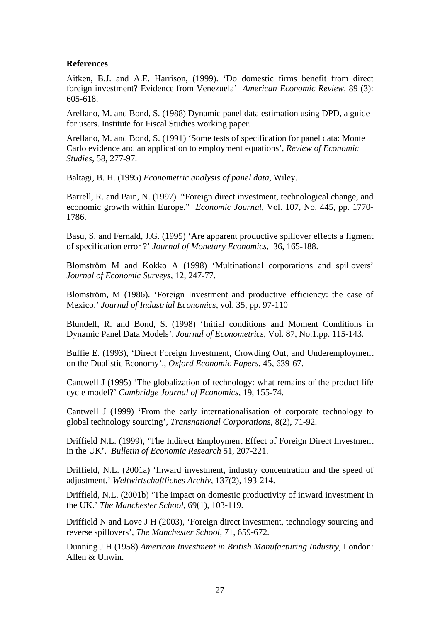### **References**

Aitken, B.J. and A.E. Harrison, (1999). 'Do domestic firms benefit from direct foreign investment? Evidence from Venezuela' *American Economic Review,* 89 (3): 605-618.

Arellano, M. and Bond, S. (1988) Dynamic panel data estimation using DPD, a guide for users. Institute for Fiscal Studies working paper.

Arellano, M. and Bond, S. (1991) 'Some tests of specification for panel data: Monte Carlo evidence and an application to employment equations', *Review of Economic Studies*, 58, 277-97.

Baltagi, B. H. (1995) *Econometric analysis of panel data,* Wiley.

Barrell, R. and Pain, N. (1997) "Foreign direct investment, technological change, and economic growth within Europe." *Economic Journal*, Vol. 107, No. 445, pp. 1770- 1786.

Basu, S. and Fernald, J.G. (1995) 'Are apparent productive spillover effects a figment of specification error ?' *Journal of Monetary Economics*, 36, 165-188.

Blomström M and Kokko A (1998) 'Multinational corporations and spillovers' *Journal of Economic Surveys*, 12, 247-77.

Blomström, M (1986). 'Foreign Investment and productive efficiency: the case of Mexico.' *Journal of Industrial Economics*, vol. 35, pp. 97-110

Blundell, R. and Bond, S. (1998) 'Initial conditions and Moment Conditions in Dynamic Panel Data Models', *Journal of Econometrics*, Vol. 87, No.1.pp. 115-143.

Buffie E. (1993), 'Direct Foreign Investment, Crowding Out, and Underemployment on the Dualistic Economy'., *Oxford Economic Papers,* 45, 639-67.

Cantwell J (1995) 'The globalization of technology: what remains of the product life cycle model?' *Cambridge Journal of Economics*, 19, 155-74.

Cantwell J (1999) 'From the early internationalisation of corporate technology to global technology sourcing', *Transnational Corporations*, 8(2), 71-92.

Driffield N.L. (1999), 'The Indirect Employment Effect of Foreign Direct Investment in the UK'. *Bulletin of Economic Research* 51, 207-221.

Driffield, N.L. (2001a) 'Inward investment, industry concentration and the speed of adjustment.' *Weltwirtschaftliches Archiv,* 137(2), 193-214.

Driffield, N.L. (2001b) 'The impact on domestic productivity of inward investment in the UK.' *The Manchester School,* 69(1), 103-119.

Driffield N and Love J H (2003), 'Foreign direct investment, technology sourcing and reverse spillovers', *The Manchester School*, 71, 659-672.

Dunning J H (1958) *American Investment in British Manufacturing Industry*, London: Allen & Unwin.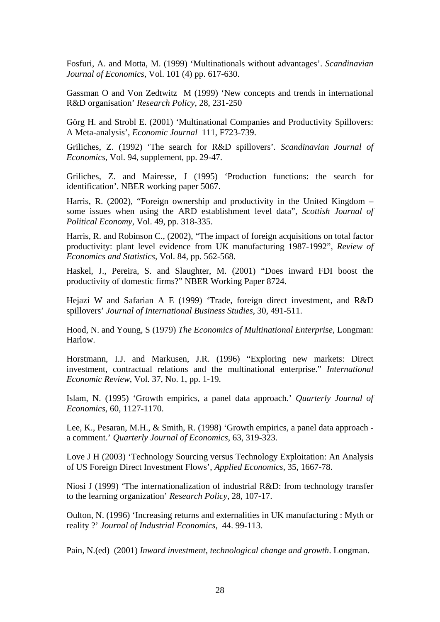Fosfuri, A. and Motta, M. (1999) 'Multinationals without advantages'. *Scandinavian Journal of Economics*, Vol. 101 (4) pp. 617-630.

Gassman O and Von Zedtwitz M (1999) 'New concepts and trends in international R&D organisation' *Research Policy*, 28, 231-250

Görg H. and Strobl E. (2001) 'Multinational Companies and Productivity Spillovers: A Meta-analysis', *Economic Journal* 111, F723-739.

Griliches, Z. (1992) 'The search for R&D spillovers'*. Scandinavian Journal of Economics*, Vol. 94, supplement, pp. 29-47.

Griliches, Z. and Mairesse, J (1995) 'Production functions: the search for identification'. NBER working paper 5067.

Harris, R. (2002), "Foreign ownership and productivity in the United Kingdom – some issues when using the ARD establishment level data", *Scottish Journal of Political Economy*, Vol. 49, pp. 318-335.

Harris, R. and Robinson C., (2002), "The impact of foreign acquisitions on total factor productivity: plant level evidence from UK manufacturing 1987-1992", *Review of Economics and Statistics,* Vol. 84, pp. 562-568.

Haskel, J., Pereira, S. and Slaughter, M. (2001) "Does inward FDI boost the productivity of domestic firms?" NBER Working Paper 8724.

Hejazi W and Safarian A E (1999) 'Trade, foreign direct investment, and R&D spillovers' *Journal of International Business Studies*, 30, 491-511.

Hood, N. and Young, S (1979) *The Economics of Multinational Enterprise*, Longman: Harlow.

Horstmann, I.J. and Markusen, J.R. (1996) "Exploring new markets: Direct investment, contractual relations and the multinational enterprise." *International Economic Review*, Vol. 37, No. 1, pp. 1-19.

Islam, N. (1995) 'Growth empirics, a panel data approach.' *Quarterly Journal of Economics*, 60, 1127-1170.

Lee, K., Pesaran, M.H., & Smith, R. (1998) 'Growth empirics, a panel data approach a comment.' *Quarterly Journal of Economics*, 63, 319-323.

Love J H (2003) 'Technology Sourcing versus Technology Exploitation: An Analysis of US Foreign Direct Investment Flows', *Applied Economics*, 35, 1667-78.

Niosi J (1999) 'The internationalization of industrial R&D: from technology transfer to the learning organization' *Research Policy*, 28, 107-17.

Oulton, N. (1996) 'Increasing returns and externalities in UK manufacturing : Myth or reality ?' *Journal of Industrial Economics*, 44. 99-113.

Pain, N.(ed) (2001) *Inward investment, technological change and growth*. Longman.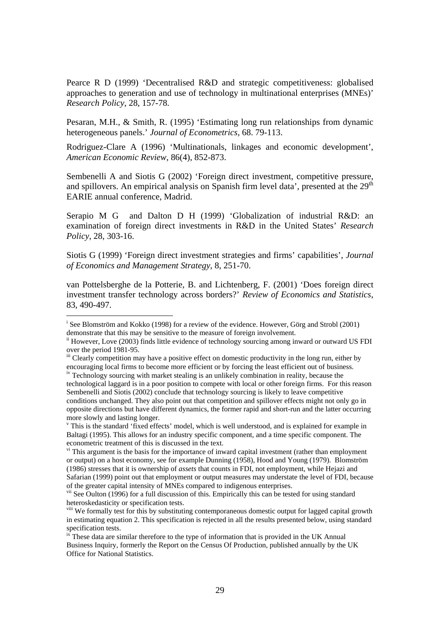Pearce R D (1999) 'Decentralised R&D and strategic competitiveness: globalised approaches to generation and use of technology in multinational enterprises (MNEs)' *Research Policy*, 28, 157-78.

Pesaran, M.H., & Smith, R. (1995) 'Estimating long run relationships from dynamic heterogeneous panels.' *Journal of Econometrics*, 68. 79-113.

Rodriguez-Clare A (1996) 'Multinationals, linkages and economic development', *American Economic Review*, 86(4), 852-873.

Sembenelli A and Siotis G (2002) 'Foreign direct investment, competitive pressure, and spillovers. An empirical analysis on Spanish firm level data', presented at the  $29<sup>th</sup>$ EARIE annual conference, Madrid.

Serapio M G and Dalton D H (1999) 'Globalization of industrial R&D: an examination of foreign direct investments in R&D in the United States' *Research Policy*, 28, 303-16.

Siotis G (1999) 'Foreign direct investment strategies and firms' capabilities', *Journal of Economics and Management Strategy*, 8, 251-70.

van Pottelsberghe de la Potterie, B. and Lichtenberg, F. (2001) 'Does foreign direct investment transfer technology across borders?' *Review of Economics and Statistics*, 83, 490-497.

1

<sup>&</sup>lt;sup>i</sup> See Blomström and Kokko (1998) for a review of the evidence. However, Görg and Strobl (2001) demonstrate that this may be sensitive to the measure of foreign involvement.

ii However, Love (2003) finds little evidence of technology sourcing among inward or outward US FDI over the period 1981-95.

iii Clearly competition may have a positive effect on domestic productivity in the long run, either by encouraging local firms to become more efficient or by forcing the least efficient out of business.

iv Technology sourcing with market stealing is an unlikely combination in reality, because the technological laggard is in a poor position to compete with local or other foreign firms. For this reason Sembenelli and Siotis (2002) conclude that technology sourcing is likely to leave competitive conditions unchanged. They also point out that competition and spillover effects might not only go in opposite directions but have different dynamics, the former rapid and short-run and the latter occurring more slowly and lasting longer.

v This is the standard 'fixed effects' model, which is well understood, and is explained for example in Baltagi (1995). This allows for an industry specific component, and a time specific component. The econometric treatment of this is discussed in the text.

<sup>&</sup>lt;sup>vi</sup> This argument is the basis for the importance of inward capital investment (rather than employment or output) on a host economy, see for example Dunning (1958), Hood and Young (1979). Blomström (1986) stresses that it is ownership of *assets* that counts in FDI, not employment, while Hejazi and Safarian (1999) point out that employment or output measures may understate the level of FDI, because of the greater capital intensity of MNEs compared to indigenous enterprises.

<sup>&</sup>lt;sup>vii</sup> See Oulton (1996) for a full discussion of this. Empirically this can be tested for using standard heteroskedasticity or specification tests.

<sup>&</sup>lt;sup>viii</sup> We formally test for this by substituting contemporaneous domestic output for lagged capital growth in estimating equation 2. This specification is rejected in all the results presented below, using standard specification tests.

 $\frac{1}{x}$ . These data are similar therefore to the type of information that is provided in the UK Annual Business Inquiry, formerly the Report on the Census Of Production, published annually by the UK Office for National Statistics.